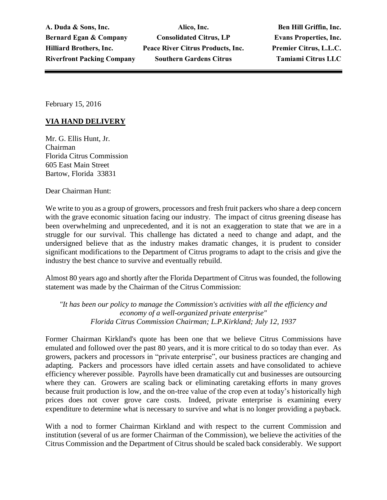**A. Duda & Sons, Inc. Alico, Inc. Ben Hill Griffin, Inc. Bernard Egan & Company Consolidated Citrus, LP Evans Properties, Inc. Hilliard Brothers, Inc. Peace River Citrus Products, Inc. Premier Citrus, L.L.C. Riverfront Packing Company Southern Gardens Citrus Tamiami Citrus LLC**

February 15, 2016

## **VIA HAND DELIVERY**

Mr. G. Ellis Hunt, Jr. Chairman Florida Citrus Commission 605 East Main Street Bartow, Florida 33831

Dear Chairman Hunt:

We write to you as a group of growers, processors and fresh fruit packers who share a deep concern with the grave economic situation facing our industry. The impact of citrus greening disease has been overwhelming and unprecedented, and it is not an exaggeration to state that we are in a struggle for our survival. This challenge has dictated a need to change and adapt, and the undersigned believe that as the industry makes dramatic changes, it is prudent to consider significant modifications to the Department of Citrus programs to adapt to the crisis and give the industry the best chance to survive and eventually rebuild.

Almost 80 years ago and shortly after the Florida Department of Citrus was founded, the following statement was made by the Chairman of the Citrus Commission:

*"It has been our policy to manage the Commission's activities with all the efficiency and economy of a well-organized private enterprise" Florida Citrus Commission Chairman; L.P.Kirkland; July 12, 1937*

Former Chairman Kirkland's quote has been one that we believe Citrus Commissions have emulated and followed over the past 80 years, and it is more critical to do so today than ever. As growers, packers and processors in "private enterprise", our business practices are changing and adapting. Packers and processors have idled certain assets and have consolidated to achieve efficiency wherever possible. Payrolls have been dramatically cut and businesses are outsourcing where they can. Growers are scaling back or eliminating caretaking efforts in many groves because fruit production is low, and the on-tree value of the crop even at today's historically high prices does not cover grove care costs. Indeed, private enterprise is examining every expenditure to determine what is necessary to survive and what is no longer providing a payback.

With a nod to former Chairman Kirkland and with respect to the current Commission and institution (several of us are former Chairman of the Commission), we believe the activities of the Citrus Commission and the Department of Citrus should be scaled back considerably. We support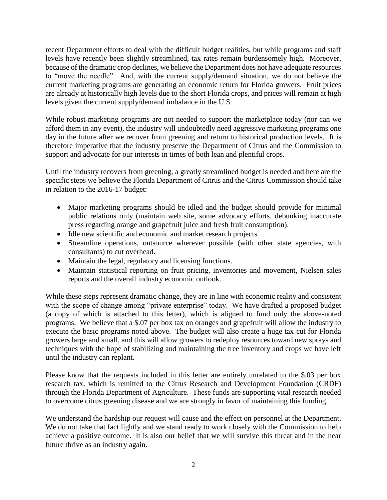recent Department efforts to deal with the difficult budget realities, but while programs and staff levels have recently been slightly streamlined, tax rates remain burdensomely high. Moreover, because of the dramatic crop declines, we believe the Department does not have adequate resources to "move the needle". And, with the current supply/demand situation, we do not believe the current marketing programs are generating an economic return for Florida growers. Fruit prices are already at historically high levels due to the short Florida crops, and prices will remain at high levels given the current supply/demand imbalance in the U.S.

While robust marketing programs are not needed to support the marketplace today (nor can we afford them in any event), the industry will undoubtedly need aggressive marketing programs one day in the future after we recover from greening and return to historical production levels. It is therefore imperative that the industry preserve the Department of Citrus and the Commission to support and advocate for our interests in times of both lean and plentiful crops.

Until the industry recovers from greening, a greatly streamlined budget is needed and here are the specific steps we believe the Florida Department of Citrus and the Citrus Commission should take in relation to the 2016-17 budget:

- Major marketing programs should be idled and the budget should provide for minimal public relations only (maintain web site, some advocacy efforts, debunking inaccurate press regarding orange and grapefruit juice and fresh fruit consumption).
- Idle new scientific and economic and market research projects.
- Streamline operations, outsource wherever possible (with other state agencies, with consultants) to cut overhead.
- Maintain the legal, regulatory and licensing functions.
- Maintain statistical reporting on fruit pricing, inventories and movement, Nielsen sales reports and the overall industry economic outlook.

While these steps represent dramatic change, they are in line with economic reality and consistent with the scope of change among "private enterprise" today. We have drafted a proposed budget (a copy of which is attached to this letter), which is aligned to fund only the above-noted programs. We believe that a \$.07 per box tax on oranges and grapefruit will allow the industry to execute the basic programs noted above. The budget will also create a huge tax cut for Florida growers large and small, and this will allow growers to redeploy resources toward new sprays and techniques with the hope of stabilizing and maintaining the tree inventory and crops we have left until the industry can replant.

Please know that the requests included in this letter are entirely unrelated to the \$.03 per box research tax, which is remitted to the Citrus Research and Development Foundation (CRDF) through the Florida Department of Agriculture. These funds are supporting vital research needed to overcome citrus greening disease and we are strongly in favor of maintaining this funding.

We understand the hardship our request will cause and the effect on personnel at the Department. We do not take that fact lightly and we stand ready to work closely with the Commission to help achieve a positive outcome. It is also our belief that we will survive this threat and in the near future thrive as an industry again.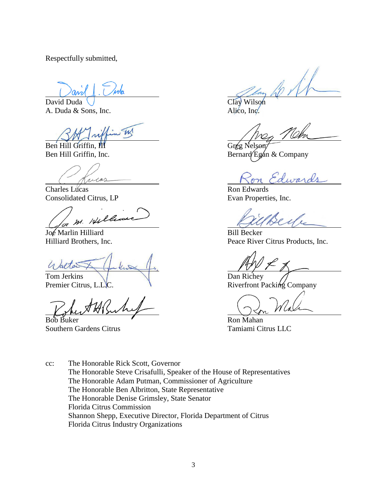Respectfully submitted,

David Duda U A. Duda & Sons, Inc. Alico, Inc.

W

Ben Hill Griffin, III Griffin, III Griffin, III Griffin, III Griffin, III Griffin, III Griffin, III Griffin, I

ricas

Charles Lucas Ron Edwards Consolidated Citrus, LP Evan Properties, Inc.

M. Hell

Joe Marlin Hilliard Bill Becker

G latter

Tom Jerkins Dan Richey<br>Premier Citrus, L.L.C. Riverfront P

Bob Buker **Ron** Mahan Southern Gardens Citrus Tamiami Citrus LLC

Ben Hill Griffin, Inc. Bernard Egan & Company

dware

Seu

Hilliard Brothers, Inc. Peace River Citrus Products, Inc.

Riverfront Packing Company

cc: The Honorable Rick Scott, Governor The Honorable Steve Crisafulli, Speaker of the House of Representatives The Honorable Adam Putman, Commissioner of Agriculture The Honorable Ben Albritton, State Representative The Honorable Denise Grimsley, State Senator Florida Citrus Commission Shannon Shepp, Executive Director, Florida Department of Citrus Florida Citrus Industry Organizations